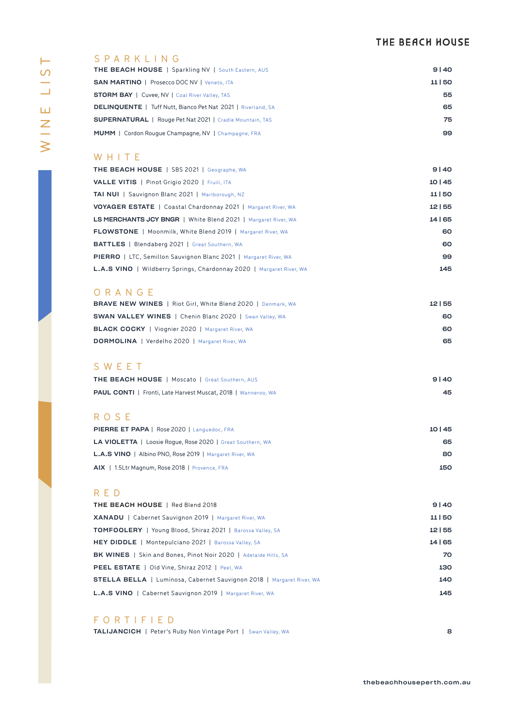# THE BEACH HOUSE

| ⊢ |
|---|
| ၯ |
|   |
|   |
| ш |
|   |
|   |
|   |

## SPARKLING

| <b>THE BEACH HOUSE</b>   Sparkling NV   South Eastern, AUS          | 9140  |
|---------------------------------------------------------------------|-------|
| <b>SAN MARTINO   Prosecco DOC NV   Veneto, ITA</b>                  | 11 50 |
| <b>STORM BAY</b>   Cuvee, NV   Coal River Valley, TAS               | 55    |
| <b>DELINOUENTE</b>   Tuff Nutt, Bianco Pet Nat 2021   Riverland, SA | 65    |
| <b>SUPERNATURAL</b>   Rouge Pet Nat 2021   Cradle Mountain, TAS     | 75    |
| <b>MUMM</b>   Cordon Rouque Champagne, NV   Champagne, FRA          | 99    |

## W H I T E

| THE BEACH HOUSE   SBS 2021   Geographe, WA                                  | 9140    |
|-----------------------------------------------------------------------------|---------|
| <b>VALLE VITIS</b>   Pinot Grigio 2020   Fruili, ITA                        | 10145   |
| <b>TAI NUI</b>   Sauvignon Blanc 2021   Marlborough, NZ                     | 11 50   |
| <b>VOYAGER ESTATE</b>   Coastal Chardonnay 2021   Margaret River, WA        | 12155   |
| <b>LS MERCHANTS JCY BNGR</b>   White Blend 2021   Margaret River, WA        | 14   65 |
| <b>FLOWSTONE</b>   Moonmilk, White Blend 2019   Margaret River, WA          | 60      |
| <b>BATTLES</b>   Blendaberg 2021   Great Southern, WA                       | 60      |
| <b>PIERRO</b>   LTC, Semillon Sauvignon Blanc 2021   Margaret River, WA     | 99      |
| <b>L.A.S VINO</b>   Wildberry Springs, Chardonnay 2020   Margaret River, WA | 145     |

### ORANGE

| <b>BRAVE NEW WINES</b>   Riot Girl, White Blend 2020   Denmark, WA | 12155 |
|--------------------------------------------------------------------|-------|
| <b>SWAN VALLEY WINES</b>   Chenin Blanc 2020   Swan Valley, WA     | 60    |
| <b>BLACK COCKY</b>   Viognier 2020   Margaret River, WA            | 60    |
| <b>DORMOLINA</b>   Verdelho 2020   Margaret River, WA              | 65    |
|                                                                    |       |

## THE BEACH HOUSE | Moscato | Great Southern, AUS 9 | 40 SWEET

| <b>PAUL CONTI</b>   Fronti, Late Harvest Muscat, 2018   Wanneroo, WA | 45 |
|----------------------------------------------------------------------|----|
|                                                                      |    |

## R O S E

| <b>PIERRE ET PAPA   Rose 2020   Languedoc, FRA</b>                | 10   45 |
|-------------------------------------------------------------------|---------|
| <b>LA VIOLETTA</b>   Loosie Roque, Rose 2020   Great Southern, WA | 65      |
| <b>L.A.S VINO</b>   Albino PNO, Rose 2019   Margaret River, WA    | 80      |
| AIX   1.5Ltr Magnum, Rose 2018   Provence, FRA                    | 150     |

### RED

| 9140    |
|---------|
| 11150   |
| 12155   |
| 14   65 |
| 70      |
| 130     |
| 140     |
| 145     |
|         |

# FORTIFIED

| <b>TALIJANCICH</b>   Peter's Ruby Non Vintage Port   Swan Valley, WA |  |  |
|----------------------------------------------------------------------|--|--|
|----------------------------------------------------------------------|--|--|